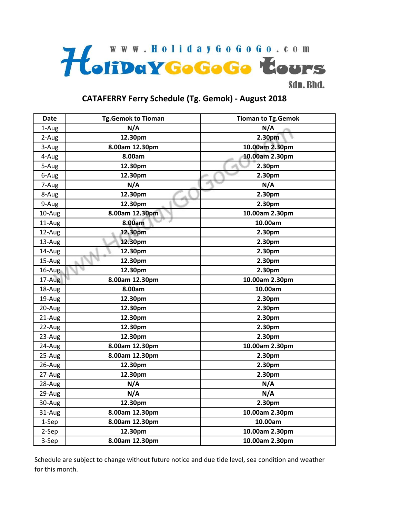

## CATAFERRY Ferry Schedule (Tg. Gemok) - August 2018

| <b>Date</b> | <b>Tg.Gemok to Tioman</b> | <b>Tioman to Tg.Gemok</b> |
|-------------|---------------------------|---------------------------|
| 1-Aug       | N/A                       | N/A                       |
| 2-Aug       | 12.30pm                   | 2.30pm                    |
| 3-Aug       | 8.00am 12.30pm            | 10.00am 2.30pm            |
| 4-Aug       | 8.00am                    | 10.00am 2.30pm            |
| 5-Aug       | 12.30pm                   | 2.30pm                    |
| 6-Aug       | 12.30pm                   | 2.30pm                    |
| 7-Aug       | N/A                       | N/A                       |
| 8-Aug       | 12.30pm                   | 2.30pm                    |
| 9-Aug       | 12.30pm                   | 2.30pm                    |
| 10-Aug      | 8.00am 12.30pm            | 10.00am 2.30pm            |
| 11-Aug      | 8.00am                    | 10.00am                   |
| 12-Aug      | 12.30pm                   | 2.30pm                    |
| 13-Aug      | 12.30pm                   | 2.30pm                    |
| 14-Aug      | 12.30pm                   | 2.30pm                    |
| 15-Aug      | 12.30pm                   | 2.30pm                    |
| 16-Aug      | 12.30pm                   | 2.30pm                    |
| 17-Aug      | 8.00am 12.30pm            | 10.00am 2.30pm            |
| 18-Aug      | 8.00am                    | 10.00am                   |
| 19-Aug      | 12.30pm                   | 2.30pm                    |
| 20-Aug      | 12.30pm                   | 2.30pm                    |
| 21-Aug      | 12.30pm                   | 2.30pm                    |
| 22-Aug      | 12.30pm                   | 2.30pm                    |
| 23-Aug      | 12.30pm                   | 2.30pm                    |
| 24-Aug      | 8.00am 12.30pm            | 10.00am 2.30pm            |
| 25-Aug      | 8.00am 12.30pm            | 2.30pm                    |
| 26-Aug      | 12.30pm                   | 2.30pm                    |
| 27-Aug      | 12.30pm                   | 2.30pm                    |
| 28-Aug      | N/A                       | N/A                       |
| 29-Aug      | N/A                       | N/A                       |
| 30-Aug      | 12.30pm                   | 2.30pm                    |
| 31-Aug      | 8.00am 12.30pm            | 10.00am 2.30pm            |
| 1-Sep       | 8.00am 12.30pm            | 10.00am                   |
| 2-Sep       | 12.30pm                   | 10.00am 2.30pm            |
| 3-Sep       | 8.00am 12.30pm            | 10.00am 2.30pm            |

Schedule are subject to change without future notice and due tide level, sea condition and weather for this month.